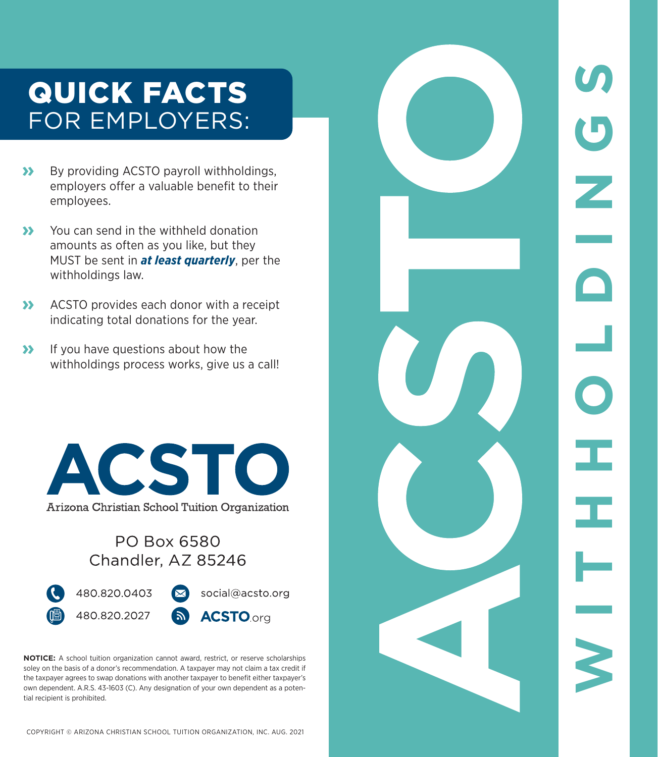# QUICK FACTS FOR EMPLOYERS:

- **»** By providing ACSTO payroll withholdings, employers offer a valuable benefit to their employees.
- **»** You can send in the withheld donation amounts as often as you like, but they MUST be sent in *at least quarterly*, per the withholdings law.
- **»** ACSTO provides each donor with a receipt indicating total donations for the year.
- **»** If you have questions about how the withholdings process works, give us a call!



#### PO Box 6580 Chandler, AZ 85246



**NOTICE:** A school tuition organization cannot award, restrict, or reserve scholarships soley on the basis of a donor's recommendation. A taxpayer may not claim a tax credit if the taxpayer agrees to swap donations with another taxpayer to benefit either taxpayer's own dependent. A.R.S. 43-1603 (C). Any designation of your own dependent as a potential recipient is prohibited.



COPYRIGHT © ARIZONA CHRISTIAN SCHOOL TUITION ORGANIZATION, INC. AUG. 2021